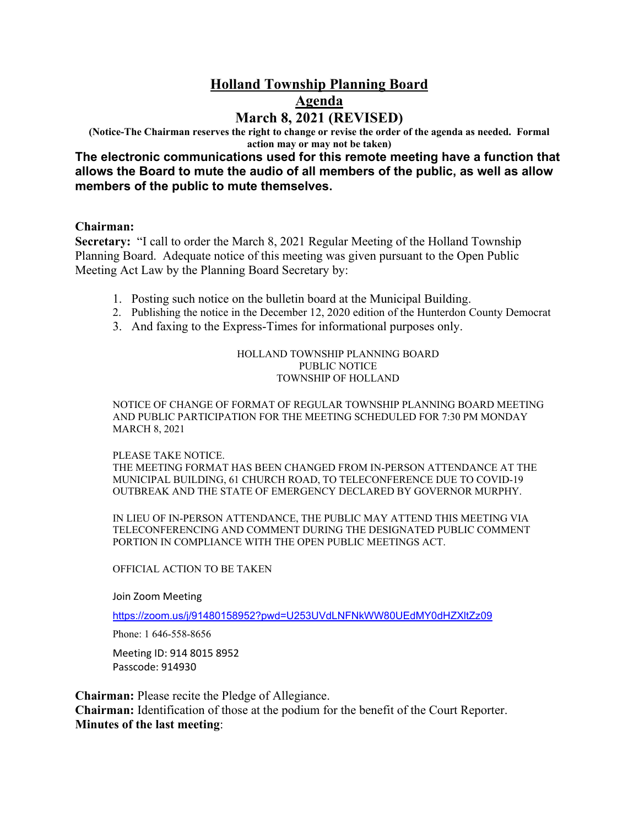# **Holland Township Planning Board Agenda March 8, 2021 (REVISED)**

**(Notice-The Chairman reserves the right to change or revise the order of the agenda as needed. Formal action may or may not be taken)**

**The electronic communications used for this remote meeting have a function that allows the Board to mute the audio of all members of the public, as well as allow members of the public to mute themselves.**

### **Chairman:**

**Secretary:** "I call to order the March 8, 2021 Regular Meeting of the Holland Township Planning Board. Adequate notice of this meeting was given pursuant to the Open Public Meeting Act Law by the Planning Board Secretary by:

- 1. Posting such notice on the bulletin board at the Municipal Building.
- 2. Publishing the notice in the December 12, 2020 edition of the Hunterdon County Democrat
- 3. And faxing to the Express-Times for informational purposes only.

#### HOLLAND TOWNSHIP PLANNING BOARD PUBLIC NOTICE TOWNSHIP OF HOLLAND

NOTICE OF CHANGE OF FORMAT OF REGULAR TOWNSHIP PLANNING BOARD MEETING AND PUBLIC PARTICIPATION FOR THE MEETING SCHEDULED FOR 7:30 PM MONDAY MARCH 8, 2021

### PLEASE TAKE NOTICE.

THE MEETING FORMAT HAS BEEN CHANGED FROM IN-PERSON ATTENDANCE AT THE MUNICIPAL BUILDING, 61 CHURCH ROAD, TO TELECONFERENCE DUE TO COVID-19 OUTBREAK AND THE STATE OF EMERGENCY DECLARED BY GOVERNOR MURPHY.

IN LIEU OF IN-PERSON ATTENDANCE, THE PUBLIC MAY ATTEND THIS MEETING VIA TELECONFERENCING AND COMMENT DURING THE DESIGNATED PUBLIC COMMENT PORTION IN COMPLIANCE WITH THE OPEN PUBLIC MEETINGS ACT.

### OFFICIAL ACTION TO BE TAKEN

Join Zoom Meeting

<https://zoom.us/j/91480158952?pwd=U253UVdLNFNkWW80UEdMY0dHZXltZz09>

Phone: 1 646-558-8656

Meeting ID: 914 8015 8952 Passcode: 914930

**Chairman:** Please recite the Pledge of Allegiance.

**Chairman:** Identification of those at the podium for the benefit of the Court Reporter. **Minutes of the last meeting**: